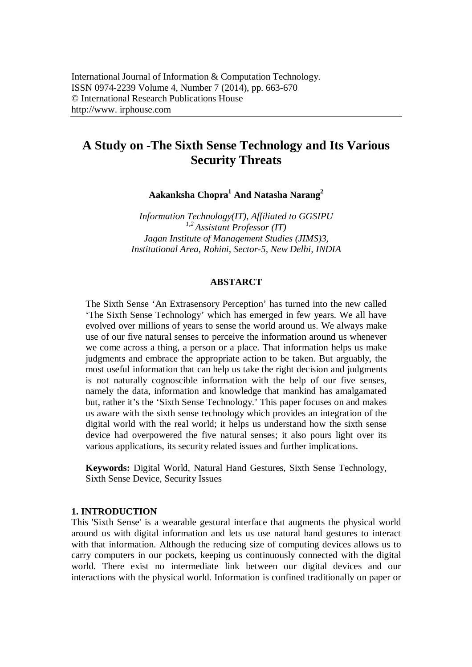# **A Study on -The Sixth Sense Technology and Its Various Security Threats**

**Aakanksha Chopra<sup>1</sup> And Natasha Narang<sup>2</sup>**

*Information Technology(IT), Affiliated to GGSIPU 1,2 Assistant Professor (IT) Jagan Institute of Management Studies (JIMS)3, Institutional Area, Rohini, Sector-5, New Delhi, INDIA*

### **ABSTARCT**

The Sixth Sense 'An Extrasensory Perception' has turned into the new called 'The Sixth Sense Technology' which has emerged in few years. We all have evolved over millions of years to sense the world around us. We always make use of our five natural senses to perceive the information around us whenever we come across a thing, a person or a place. That information helps us make judgments and embrace the appropriate action to be taken. But arguably, the most useful information that can help us take the right decision and judgments is not naturally cognoscible information with the help of our five senses, namely the data, information and knowledge that mankind has amalgamated but, rather it's the 'Sixth Sense Technology.' This paper focuses on and makes us aware with the sixth sense technology which provides an integration of the digital world with the real world; it helps us understand how the sixth sense device had overpowered the five natural senses; it also pours light over its various applications, its security related issues and further implications.

**Keywords:** Digital World, Natural Hand Gestures, Sixth Sense Technology, Sixth Sense Device, Security Issues

### **1. INTRODUCTION**

This 'Sixth Sense' is a wearable gestural interface that augments the physical world around us with digital information and lets us use natural hand gestures to interact with that information. Although the reducing size of computing devices allows us to carry computers in our pockets, keeping us continuously connected with the digital world. There exist no intermediate link between our digital devices and our interactions with the physical world. Information is confined traditionally on paper or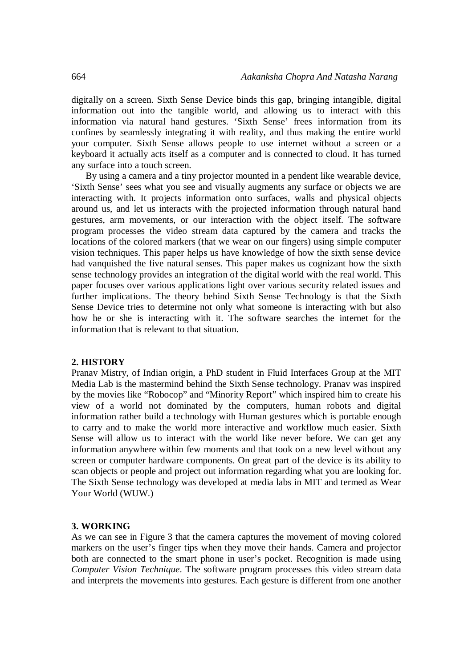digitally on a screen. Sixth Sense Device binds this gap, bringing intangible, digital information out into the tangible world, and allowing us to interact with this information via natural hand gestures. 'Sixth Sense' frees information from its confines by seamlessly integrating it with reality, and thus making the entire world your computer. Sixth Sense allows people to use internet without a screen or a keyboard it actually acts itself as a computer and is connected to cloud. It has turned any surface into a touch screen.

By using a camera and a tiny projector mounted in a pendent like wearable device, 'Sixth Sense' sees what you see and visually augments any surface or objects we are interacting with. It projects information onto surfaces, walls and physical objects around us, and let us interacts with the projected information through natural hand gestures, arm movements, or our interaction with the object itself. The software program processes the video stream data captured by the camera and tracks the locations of the colored markers (that we wear on our fingers) using simple computer vision techniques. This paper helps us have knowledge of how the sixth sense device had vanquished the five natural senses. This paper makes us cognizant how the sixth sense technology provides an integration of the digital world with the real world. This paper focuses over various applications light over various security related issues and further implications. The theory behind Sixth Sense Technology is that the Sixth Sense Device tries to determine not only what someone is interacting with but also how he or she is interacting with it. The software searches the internet for the information that is relevant to that situation.

#### **2. HISTORY**

Pranav Mistry, of Indian origin, a PhD student in Fluid Interfaces Group at the MIT Media Lab is the mastermind behind the Sixth Sense technology. Pranav was inspired by the movies like "Robocop" and "Minority Report" which inspired him to create his view of a world not dominated by the computers, human robots and digital information rather build a technology with Human gestures which is portable enough to carry and to make the world more interactive and workflow much easier. Sixth Sense will allow us to interact with the world like never before. We can get any information anywhere within few moments and that took on a new level without any screen or computer hardware components. On great part of the device is its ability to scan objects or people and project out information regarding what you are looking for. The Sixth Sense technology was developed at media labs in MIT and termed as Wear Your World (WUW.)

#### **3. WORKING**

As we can see in Figure 3 that the camera captures the movement of moving colored markers on the user's finger tips when they move their hands. Camera and projector both are connected to the smart phone in user's pocket. Recognition is made using *Computer Vision Technique*. The software program processes this video stream data and interprets the movements into gestures. Each gesture is different from one another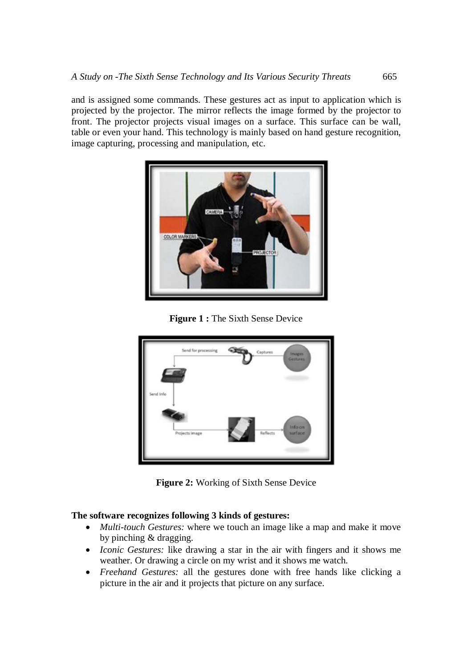and is assigned some commands. These gestures act as input to application which is projected by the projector. The mirror reflects the image formed by the projector to front. The projector projects visual images on a surface. This surface can be wall, table or even your hand. This technology is mainly based on hand gesture recognition, image capturing, processing and manipulation, etc.



**Figure 1 :** The Sixth Sense Device



**Figure 2:** Working of Sixth Sense Device

# **The software recognizes following 3 kinds of gestures:**

- *Multi-touch Gestures:* where we touch an image like a map and make it move by pinching & dragging.
- *Iconic Gestures:* like drawing a star in the air with fingers and it shows me weather. Or drawing a circle on my wrist and it shows me watch.
- *Freehand Gestures:* all the gestures done with free hands like clicking a picture in the air and it projects that picture on any surface.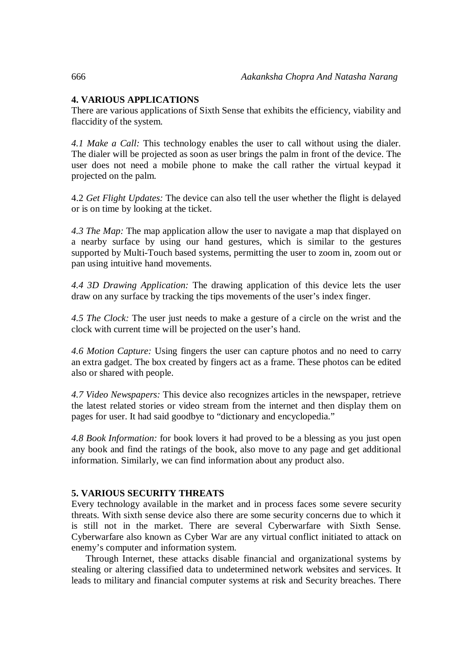# **4. VARIOUS APPLICATIONS**

There are various applications of Sixth Sense that exhibits the efficiency, viability and flaccidity of the system.

*4.1 Make a Call:* This technology enables the user to call without using the dialer. The dialer will be projected as soon as user brings the palm in front of the device. The user does not need a mobile phone to make the call rather the virtual keypad it projected on the palm.

4.2 *Get Flight Updates:* The device can also tell the user whether the flight is delayed or is on time by looking at the ticket.

*4.3 The Map:* The map application allow the user to navigate a map that displayed on a nearby surface by using our hand gestures, which is similar to the gestures supported by Multi-Touch based systems, permitting the user to zoom in, zoom out or pan using intuitive hand movements.

*4.4 3D Drawing Application:* The drawing application of this device lets the user draw on any surface by tracking the tips movements of the user's index finger.

*4.5 The Clock:* The user just needs to make a gesture of a circle on the wrist and the clock with current time will be projected on the user's hand.

*4.6 Motion Capture:* Using fingers the user can capture photos and no need to carry an extra gadget. The box created by fingers act as a frame. These photos can be edited also or shared with people.

*4.7 Video Newspapers:* This device also recognizes articles in the newspaper, retrieve the latest related stories or video stream from the internet and then display them on pages for user. It had said goodbye to "dictionary and encyclopedia."

*4.8 Book Information:* for book lovers it had proved to be a blessing as you just open any book and find the ratings of the book, also move to any page and get additional information. Similarly, we can find information about any product also.

# **5. VARIOUS SECURITY THREATS**

Every technology available in the market and in process faces some severe security threats. With sixth sense device also there are some security concerns due to which it is still not in the market. There are several Cyberwarfare with Sixth Sense. Cyberwarfare also known as Cyber War are any virtual conflict initiated to attack on enemy's computer and information system.

Through Internet, these attacks disable financial and organizational systems by stealing or altering classified data to undetermined network websites and services. It leads to military and financial computer systems at risk and Security breaches. There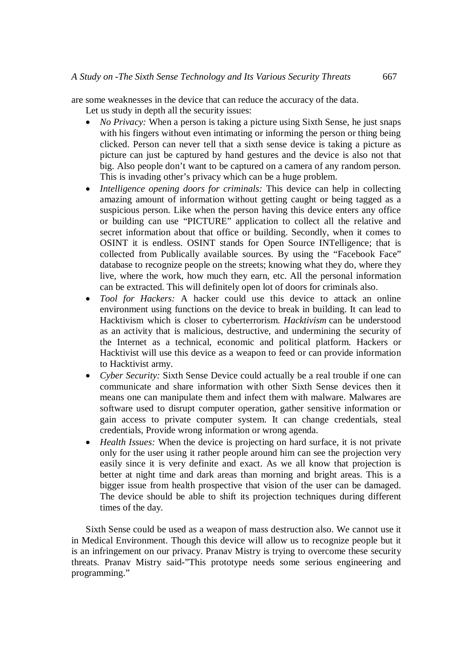are some weaknesses in the device that can reduce the accuracy of the data.

- Let us study in depth all the security issues:
- *No Privacy:* When a person is taking a picture using Sixth Sense, he just snaps with his fingers without even intimating or informing the person or thing being clicked. Person can never tell that a sixth sense device is taking a picture as picture can just be captured by hand gestures and the device is also not that big. Also people don't want to be captured on a camera of any random person. This is invading other's privacy which can be a huge problem.
- *Intelligence opening doors for criminals:* This device can help in collecting amazing amount of information without getting caught or being tagged as a suspicious person. Like when the person having this device enters any office or building can use "PICTURE" application to collect all the relative and secret information about that office or building. Secondly, when it comes to OSINT it is endless. OSINT stands for Open Source INTelligence; that is collected from Publically available sources. By using the "Facebook Face" database to recognize people on the streets; knowing what they do, where they live, where the work, how much they earn, etc. All the personal information can be extracted. This will definitely open lot of doors for criminals also.
- *Tool for Hackers:* A hacker could use this device to attack an online environment using functions on the device to break in building. It can lead to Hacktivism which is closer to cyberterrorism. *Hacktivism* can be understood as an activity that is malicious, destructive, and undermining the security of the Internet as a technical, economic and political platform. Hackers or Hacktivist will use this device as a weapon to feed or can provide information to Hacktivist army.
- *Cyber Security:* Sixth Sense Device could actually be a real trouble if one can communicate and share information with other Sixth Sense devices then it means one can manipulate them and infect them with malware. Malwares are software used to disrupt computer operation, gather sensitive information or gain access to private computer system. It can change credentials, steal credentials, Provide wrong information or wrong agenda.
- *Health Issues:* When the device is projecting on hard surface, it is not private only for the user using it rather people around him can see the projection very easily since it is very definite and exact. As we all know that projection is better at night time and dark areas than morning and bright areas. This is a bigger issue from health prospective that vision of the user can be damaged. The device should be able to shift its projection techniques during different times of the day.

Sixth Sense could be used as a weapon of mass destruction also. We cannot use it in Medical Environment. Though this device will allow us to recognize people but it is an infringement on our privacy. Pranav Mistry is trying to overcome these security threats. Pranav Mistry said-"This prototype needs some serious engineering and programming."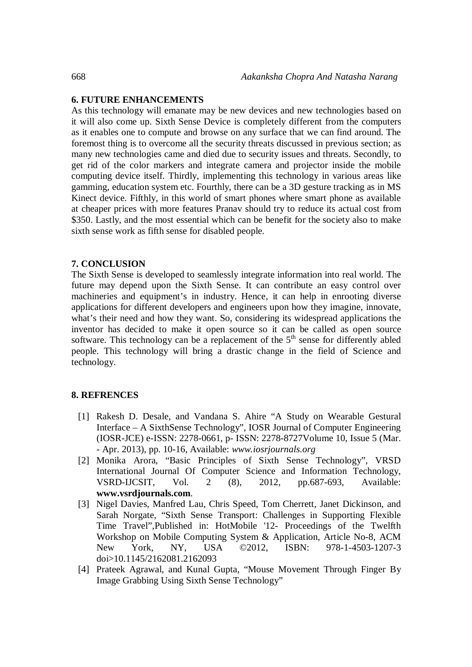## **6. FUTURE ENHANCEMENTS**

As this technology will emanate may be new devices and new technologies based on it will also come up. Sixth Sense Device is completely different from the computers as it enables one to compute and browse on any surface that we can find around. The foremost thing is to overcome all the security threats discussed in previous section; as many new technologies came and died due to security issues and threats. Secondly, to get rid of the color markers and integrate camera and projector inside the mobile computing device itself. Thirdly, implementing this technology in various areas like gamming, education system etc. Fourthly, there can be a 3D gesture tracking as in MS Kinect device. Fifthly, in this world of smart phones where smart phone as available at cheaper prices with more features Pranav should try to reduce its actual cost from \$350. Lastly, and the most essential which can be benefit for the society also to make sixth sense work as fifth sense for disabled people.

### **7. CONCLUSION**

The Sixth Sense is developed to seamlessly integrate information into real world. The future may depend upon the Sixth Sense. It can contribute an easy control over machineries and equipment's in industry. Hence, it can help in enrooting diverse applications for different developers and engineers upon how they imagine, innovate, what's their need and how they want. So, considering its widespread applications the inventor has decided to make it open source so it can be called as open source software. This technology can be a replacement of the  $5<sup>th</sup>$  sense for differently abled people. This technology will bring a drastic change in the field of Science and technology.

# **8. REFRENCES**

- [1] Rakesh D. Desale, and Vandana S. Ahire "A Study on Wearable Gestural Interface – A SixthSense Technology", IOSR Journal of Computer Engineering (IOSR-JCE) e-ISSN: 2278-0661, p- ISSN: 2278-8727Volume 10, Issue 5 (Mar. - Apr. 2013), pp. 10-16, Available: *www.iosrjournals.org*
- [2] Monika Arora, "Basic Principles of Sixth Sense Technology", VRSD International Journal Of Computer Science and Information Technology, VSRD-IJCSIT, Vol. 2 (8), 2012, pp.687-693, Available: **www.vsrdjournals.com**.
- [3] Nigel Davies, Manfred Lau, Chris Speed, Tom Cherrett, Janet Dickinson, and Sarah Norgate, "Sixth Sense Transport: Challenges in Supporting Flexible Time Travel",Published in: HotMobile '12- Proceedings of the Twelfth Workshop on Mobile Computing System & Application, Article No-8, ACM New York, NY, USA ©2012, ISBN: 978-1-4503-1207-3 doi>10.1145/2162081.2162093
- [4] Prateek Agrawal, and Kunal Gupta, "Mouse Movement Through Finger By Image Grabbing Using Sixth Sense Technology"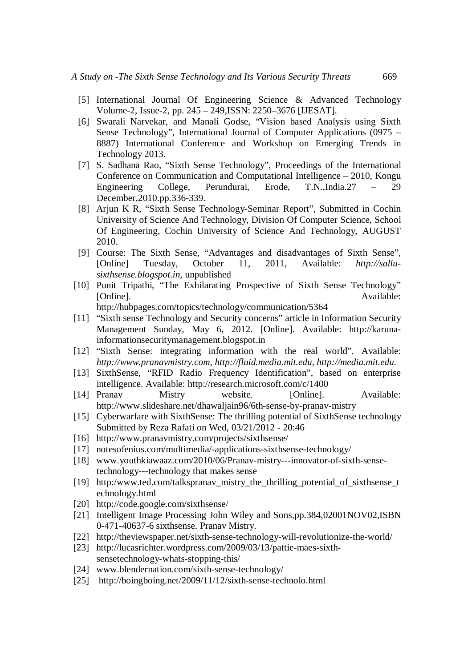- [5] International Journal Of Engineering Science & Advanced Technology Volume-2, Issue-2, pp. 245 – 249,ISSN: 2250–3676 [IJESAT].
- [6] Swarali Narvekar, and Manali Godse, "Vision based Analysis using Sixth Sense Technology", International Journal of Computer Applications (0975 – 8887) International Conference and Workshop on Emerging Trends in Technology 2013.
- [7] S. Sadhana Rao, "Sixth Sense Technology", Proceedings of the International Conference on Communication and Computational Intelligence – 2010, Kongu Engineering College, Perundurai, Erode, T.N.,India.27 – 29 December,2010.pp.336-339.
- [8] Arjun K R, "Sixth Sense Technology-Seminar Report", Submitted in Cochin University of Science And Technology, Division Of Computer Science, School Of Engineering, Cochin University of Science And Technology, AUGUST 2010.
- [9] Course: The Sixth Sense, "Advantages and disadvantages of Sixth Sense", [Online] Tuesday, October 11, 2011, Available: *http://sallusixthsense.blogspot.in*, unpublished
- [10] Punit Tripathi, "The Exhilarating Prospective of Sixth Sense Technology" [Online]. Available:

http://hubpages.com/topics/technology/communication/5364

- [11] "Sixth sense Technology and Security concerns" article in Information Security Management Sunday, May 6, 2012. [Online]. Available: http://karunainformationsecuritymanagement.blogspot.in
- [12] "Sixth Sense: integrating information with the real world". Available: *http://www.pranavmistry.com*, *http://fluid.media.mit.edu*, *http://media.mit.edu*.
- [13] SixthSense, "RFID Radio Frequency Identification", based on enterprise intelligence. Available: http://research.microsoft.com/c/1400
- [14] Pranav Mistry website. [Online]. Available: http://www.slideshare.net/dhawaljain96/6th-sense-by-pranav-mistry
- [15] Cyberwarfare with SixthSense: The thrilling potential of SixthSense technology Submitted by Reza Rafati on Wed, 03/21/2012 - 20:46
- [16] http://www.pranavmistry.com/projects/sixthsense/
- [17] notesofenius.com/multimedia/-applications-sixthsense-technology/
- [18] www.youthkiawaaz.com/2010/06/Pranav-mistry---innovator-of-sixth-sensetechnology---technology that makes sense
- [19] http:/www.ted.com/talkspranav\_mistry\_the\_thrilling\_potential\_of\_sixthsense\_t echnology.html
- [20] http://code.google.com/sixthsense/
- [21] Intelligent Image Processing John Wiley and Sons,pp.384,02001NOV02,ISBN 0-471-40637-6 sixthsense. Pranav Mistry.
- [22] http://theviewspaper.net/sixth-sense-technology-will-revolutionize-the-world/
- [23] http://lucasrichter.wordpress.com/2009/03/13/pattie-maes-sixthsensetechnology-whats-stopping-this/
- [24] www.blendernation.com/sixth-sense-technology/
- [25] http://boingboing.net/2009/11/12/sixth-sense-technolo.html